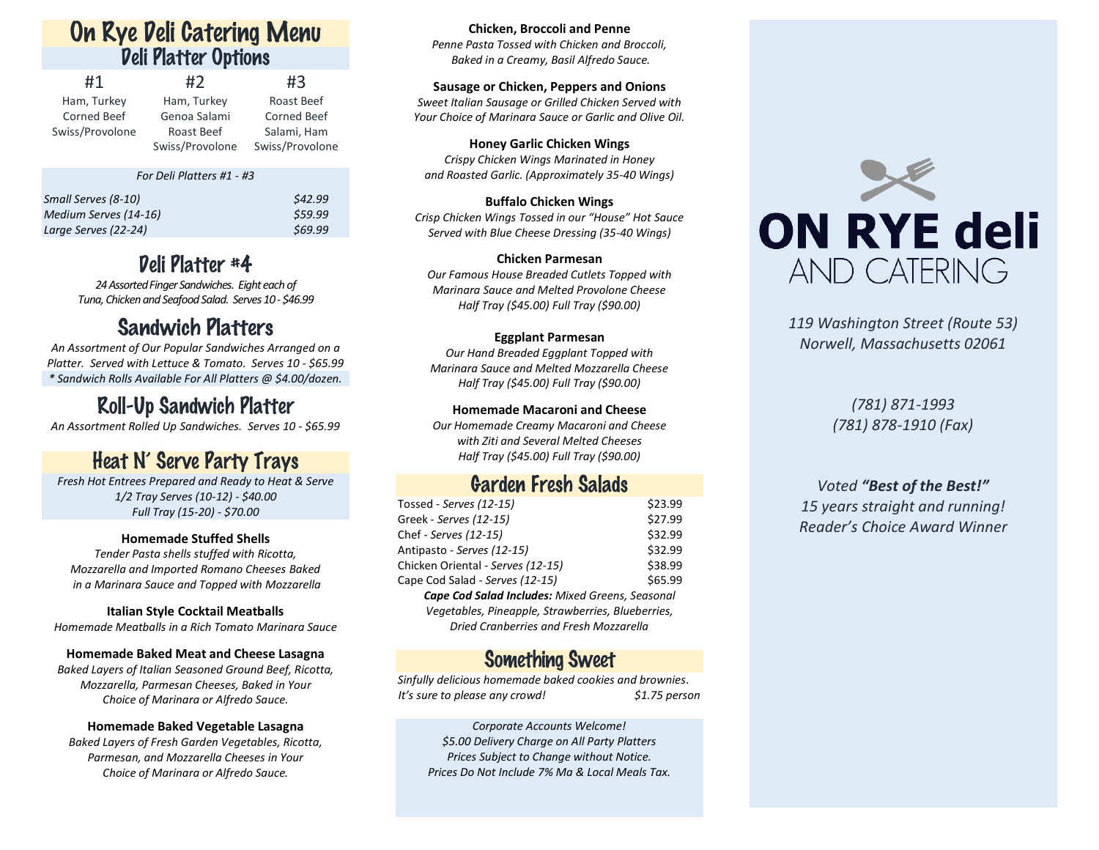## On Rye Deli Catering Menu Deli Platter Options

| #1              | #2              | #3                 |
|-----------------|-----------------|--------------------|
| Ham, Turkey     | Ham, Turkey     | Roast Beef         |
| Corned Beef     | Genoa Salami    | <b>Corned Beef</b> |
| Swiss/Provolone | Roast Beef      | Salami, Ham        |
|                 | Swiss/Provolone | Swiss/Provolone    |

#### *For Deli Platters #1 - #3*

| Small Serves (8-10)   | \$42.99 |
|-----------------------|---------|
| Medium Serves (14-16) | \$59.99 |
| Large Serves (22-24)  | \$69.99 |

# Deli Platter #4

24 Assorted Finger Sandwiches. Eight each of *Tuna,Chicken and Seafood Salad. Serves 10 - \$46.99*

## Sandwich Platters

*An Assortment of Our Popular Sandwiches Arranged on a Platter. Served with Lettuce & Tomato. Serves 10 - \$65.99 \* Sandwich Rolls Available For All Platters @ \$4.00/dozen.*

## Roll-Up Sandwich Platter

*An Assortment Rolled Up Sandwiches. Serves 10 - \$65.99*

## Heat N' Serve Party Trays

*Fresh Hot Entrees Prepared and Ready to Heat & Serve 1/2 Tray Serves (10-12) - \$40.00 Full Tray (15-20) - \$70.00*

### **Homemade Stuffed Shells**

*Tender Pasta shells stuffed with Ricotta, Mozzarella and Imported Romano Cheeses Baked in a Marinara Sauce and Topped with Mozzarella*

### **Italian Style Cocktail Meatballs**

*Homemade Meatballs in a Rich Tomato Marinara Sauce*

#### **Homemade Baked Meat and Cheese Lasagna**

*Baked Layers of Italian Seasoned Ground Beef, Ricotta, Mozzarella, Parmesan Cheeses, Baked in Your Choice of Marinara or Alfredo Sauce.*

### **Homemade Baked Vegetable Lasagna**

*Baked Layers of Fresh Garden Vegetables, Ricotta, Parmesan, and Mozzarella Cheeses in Your Choice of Marinara or Alfredo Sauce.*

#### **Chicken, Broccoli and Penne**

*Penne Pasta Tossed with Chicken and Broccoli, Baked in a Creamy, Basil Alfredo Sauce.*

### **Sausage or Chicken, Peppers and Onions**

*Sweet Italian Sausage or Grilled Chicken Served with Your Choice of Marinara Sauce or Garlic and Olive Oil.*

**Honey Garlic Chicken Wings** *Crispy Chicken Wings Marinated in Honey and Roasted Garlic. (Approximately 35-40 Wings)*

**Buffalo Chicken Wings** *Crisp Chicken Wings Tossed in our "House" Hot Sauce Served with Blue Cheese Dressing (35-40 Wings)*

**Chicken Parmesan** *Our Famous House Breaded Cutlets Topped with Marinara Sauce and Melted Provolone Cheese Half Tray (\$45.00) Full Tray (\$90.00)*

### **Eggplant Parmesan**

*Our Hand Breaded Eggplant Topped with Marinara Sauce and Melted Mozzarella Cheese Half Tray (\$45.00) Full Tray (\$90.00)*

### **Homemade Macaroni and Cheese**

*Our Homemade Creamy Macaroni and Cheese with Ziti and Several Melted Cheeses Half Tray (\$45.00) Full Tray (\$90.00)*

### Garden Fresh Salads

| Tossed - Serves (12-15)                           | \$23.99 |  |
|---------------------------------------------------|---------|--|
| Greek - Serves (12-15)                            | \$27.99 |  |
| Chef - Serves (12-15)                             | \$32.99 |  |
| Antipasto - Serves (12-15)                        | \$32.99 |  |
| Chicken Oriental - Serves (12-15)                 | \$38.99 |  |
| Cape Cod Salad - Serves (12-15)                   | \$65.99 |  |
| Cape Cod Salad Includes: Mixed Greens, Seasonal   |         |  |
| Vegetables, Pineapple, Strawberries, Blueberries, |         |  |
| Dried Cranberries and Fresh Mozzarella            |         |  |

### Something Sweet

*Sinfully delicious homemade baked cookies and brownies. It's sure to please any crowd! \$1.75 person*

*Corporate Accounts Welcome! \$5.00 Delivery Charge on All Party Platters Prices Subject to Change without Notice. Prices Do Not Include 7% Ma & Local Meals Tax.*



*119 Washington Street (Route 53) Norwell, Massachusetts 02061*

> *(781) 871-1993 (781) 878-1910 (Fax)*

### *Voted "Best of the Best!"*

*15 years straight and running! Reader's Choice Award Winner*